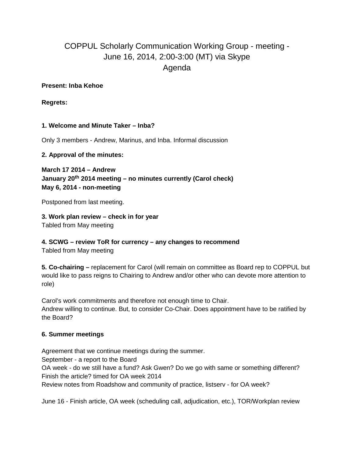# COPPUL Scholarly Communication Working Group - meeting - June 16, 2014, 2:00-3:00 (MT) via Skype Agenda

#### **Present: Inba Kehoe**

**Regrets:** 

## **1. Welcome and Minute Taker – Inba?**

Only 3 members - Andrew, Marinus, and Inba. Informal discussion

#### **2. Approval of the minutes:**

**March 17 2014 – Andrew January 20th 2014 meeting – no minutes currently (Carol check) May 6, 2014 - non-meeting**

Postponed from last meeting.

**3. Work plan review – check in for year** Tabled from May meeting

# **4. SCWG – review ToR for currency – any changes to recommend**

Tabled from May meeting

**5. Co-chairing –** replacement for Carol (will remain on committee as Board rep to COPPUL but would like to pass reigns to Chairing to Andrew and/or other who can devote more attention to role)

Carol's work commitments and therefore not enough time to Chair. Andrew willing to continue. But, to consider Co-Chair. Does appointment have to be ratified by the Board?

## **6. Summer meetings**

Agreement that we continue meetings during the summer. September - a report to the Board OA week - do we still have a fund? Ask Gwen? Do we go with same or something different? Finish the article? timed for OA week 2014 Review notes from Roadshow and community of practice, listserv - for OA week?

June 16 - Finish article, OA week (scheduling call, adjudication, etc.), TOR/Workplan review